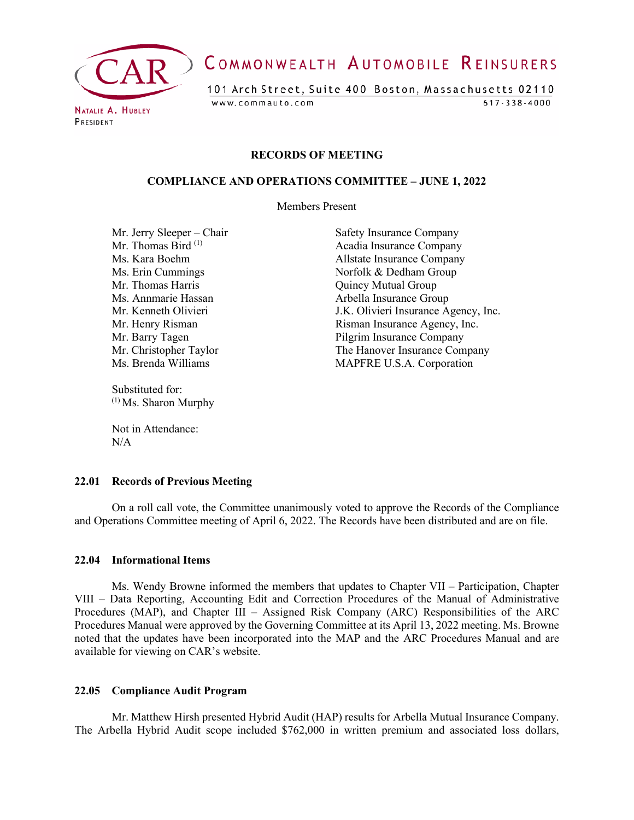

# COMMONWEALTH AUTOMOBILE REINSURERS

101 Arch Street, Suite 400 Boston, Massachusetts 02110 www.commauto.com  $617 - 338 - 4000$ 

PRESIDENT

#### **RECORDS OF MEETING**

#### **COMPLIANCE AND OPERATIONS COMMITTEE – JUNE 1, 2022**

Members Present

Mr. Jerry Sleeper – Chair Safety Insurance Company<br>
Mr. Thomas Bird<sup>(1)</sup> Acadia Insurance Company Mr. Thomas Harris **Mr. Thomas Harris** Quincy Mutual Group Ms. Annmarie Hassan Arbella Insurance Group

Substituted for: (1) Ms. Sharon Murphy

Not in Attendance:  $N/A$ 

Acadia Insurance Company Ms. Kara Boehm Allstate Insurance Company Ms. Erin Cummings Norfolk & Dedham Group Mr. Kenneth Olivieri J.K. Olivieri Insurance Agency, Inc. Mr. Henry Risman **Insurance Agency**, Inc. Mr. Barry Tagen Pilgrim Insurance Company Mr. Christopher Taylor<br>
Ms. Brenda Williams<br>
MAPFRE U.S.A. Corporation MAPFRE U.S.A. Corporation

#### **22.01 Records of Previous Meeting**

On a roll call vote, the Committee unanimously voted to approve the Records of the Compliance and Operations Committee meeting of April 6, 2022. The Records have been distributed and are on file.

#### **22.04 Informational Items**

Ms. Wendy Browne informed the members that updates to Chapter VII – Participation, Chapter VIII – Data Reporting, Accounting Edit and Correction Procedures of the Manual of Administrative Procedures (MAP), and Chapter III – Assigned Risk Company (ARC) Responsibilities of the ARC Procedures Manual were approved by the Governing Committee at its April 13, 2022 meeting. Ms. Browne noted that the updates have been incorporated into the MAP and the ARC Procedures Manual and are available for viewing on CAR's website.

#### **22.05 Compliance Audit Program**

Mr. Matthew Hirsh presented Hybrid Audit (HAP) results for Arbella Mutual Insurance Company. The Arbella Hybrid Audit scope included \$762,000 in written premium and associated loss dollars,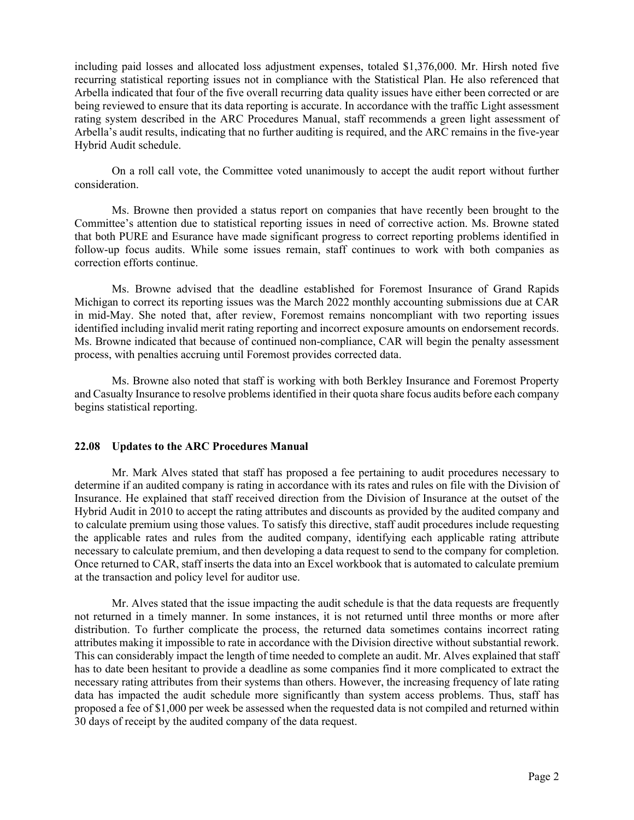including paid losses and allocated loss adjustment expenses, totaled \$1,376,000. Mr. Hirsh noted five recurring statistical reporting issues not in compliance with the Statistical Plan. He also referenced that Arbella indicated that four of the five overall recurring data quality issues have either been corrected or are being reviewed to ensure that its data reporting is accurate. In accordance with the traffic Light assessment rating system described in the ARC Procedures Manual, staff recommends a green light assessment of Arbella's audit results, indicating that no further auditing is required, and the ARC remains in the five-year Hybrid Audit schedule.

On a roll call vote, the Committee voted unanimously to accept the audit report without further consideration.

Ms. Browne then provided a status report on companies that have recently been brought to the Committee's attention due to statistical reporting issues in need of corrective action. Ms. Browne stated that both PURE and Esurance have made significant progress to correct reporting problems identified in follow-up focus audits. While some issues remain, staff continues to work with both companies as correction efforts continue.

Ms. Browne advised that the deadline established for Foremost Insurance of Grand Rapids Michigan to correct its reporting issues was the March 2022 monthly accounting submissions due at CAR in mid-May. She noted that, after review, Foremost remains noncompliant with two reporting issues identified including invalid merit rating reporting and incorrect exposure amounts on endorsement records. Ms. Browne indicated that because of continued non-compliance, CAR will begin the penalty assessment process, with penalties accruing until Foremost provides corrected data.

Ms. Browne also noted that staff is working with both Berkley Insurance and Foremost Property and Casualty Insurance to resolve problems identified in their quota share focus audits before each company begins statistical reporting.

#### **22.08 Updates to the ARC Procedures Manual**

Mr. Mark Alves stated that staff has proposed a fee pertaining to audit procedures necessary to determine if an audited company is rating in accordance with its rates and rules on file with the Division of Insurance. He explained that staff received direction from the Division of Insurance at the outset of the Hybrid Audit in 2010 to accept the rating attributes and discounts as provided by the audited company and to calculate premium using those values. To satisfy this directive, staff audit procedures include requesting the applicable rates and rules from the audited company, identifying each applicable rating attribute necessary to calculate premium, and then developing a data request to send to the company for completion. Once returned to CAR, staff inserts the data into an Excel workbook that is automated to calculate premium at the transaction and policy level for auditor use.

Mr. Alves stated that the issue impacting the audit schedule is that the data requests are frequently not returned in a timely manner. In some instances, it is not returned until three months or more after distribution. To further complicate the process, the returned data sometimes contains incorrect rating attributes making it impossible to rate in accordance with the Division directive without substantial rework. This can considerably impact the length of time needed to complete an audit. Mr. Alves explained that staff has to date been hesitant to provide a deadline as some companies find it more complicated to extract the necessary rating attributes from their systems than others. However, the increasing frequency of late rating data has impacted the audit schedule more significantly than system access problems. Thus, staff has proposed a fee of \$1,000 per week be assessed when the requested data is not compiled and returned within 30 days of receipt by the audited company of the data request.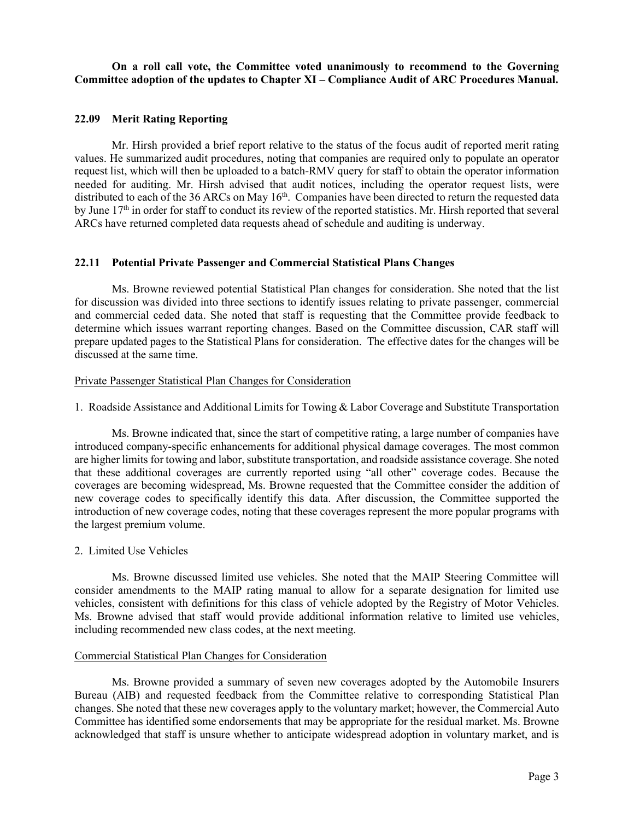## **On a roll call vote, the Committee voted unanimously to recommend to the Governing Committee adoption of the updates to Chapter XI – Compliance Audit of ARC Procedures Manual.**

## **22.09 Merit Rating Reporting**

Mr. Hirsh provided a brief report relative to the status of the focus audit of reported merit rating values. He summarized audit procedures, noting that companies are required only to populate an operator request list, which will then be uploaded to a batch-RMV query for staff to obtain the operator information needed for auditing. Mr. Hirsh advised that audit notices, including the operator request lists, were distributed to each of the 36 ARCs on May 16<sup>th</sup>. Companies have been directed to return the requested data by June  $17<sup>th</sup>$  in order for staff to conduct its review of the reported statistics. Mr. Hirsh reported that several ARCs have returned completed data requests ahead of schedule and auditing is underway.

## **22.11 Potential Private Passenger and Commercial Statistical Plans Changes**

Ms. Browne reviewed potential Statistical Plan changes for consideration. She noted that the list for discussion was divided into three sections to identify issues relating to private passenger, commercial and commercial ceded data. She noted that staff is requesting that the Committee provide feedback to determine which issues warrant reporting changes. Based on the Committee discussion, CAR staff will prepare updated pages to the Statistical Plans for consideration. The effective dates for the changes will be discussed at the same time.

## Private Passenger Statistical Plan Changes for Consideration

1. Roadside Assistance and Additional Limits for Towing & Labor Coverage and Substitute Transportation

Ms. Browne indicated that, since the start of competitive rating, a large number of companies have introduced company-specific enhancements for additional physical damage coverages. The most common are higher limits for towing and labor, substitute transportation, and roadside assistance coverage. She noted that these additional coverages are currently reported using "all other" coverage codes. Because the coverages are becoming widespread, Ms. Browne requested that the Committee consider the addition of new coverage codes to specifically identify this data. After discussion, the Committee supported the introduction of new coverage codes, noting that these coverages represent the more popular programs with the largest premium volume.

## 2. Limited Use Vehicles

Ms. Browne discussed limited use vehicles. She noted that the MAIP Steering Committee will consider amendments to the MAIP rating manual to allow for a separate designation for limited use vehicles, consistent with definitions for this class of vehicle adopted by the Registry of Motor Vehicles. Ms. Browne advised that staff would provide additional information relative to limited use vehicles, including recommended new class codes, at the next meeting.

## Commercial Statistical Plan Changes for Consideration

Ms. Browne provided a summary of seven new coverages adopted by the Automobile Insurers Bureau (AIB) and requested feedback from the Committee relative to corresponding Statistical Plan changes. She noted that these new coverages apply to the voluntary market; however, the Commercial Auto Committee has identified some endorsements that may be appropriate for the residual market. Ms. Browne acknowledged that staff is unsure whether to anticipate widespread adoption in voluntary market, and is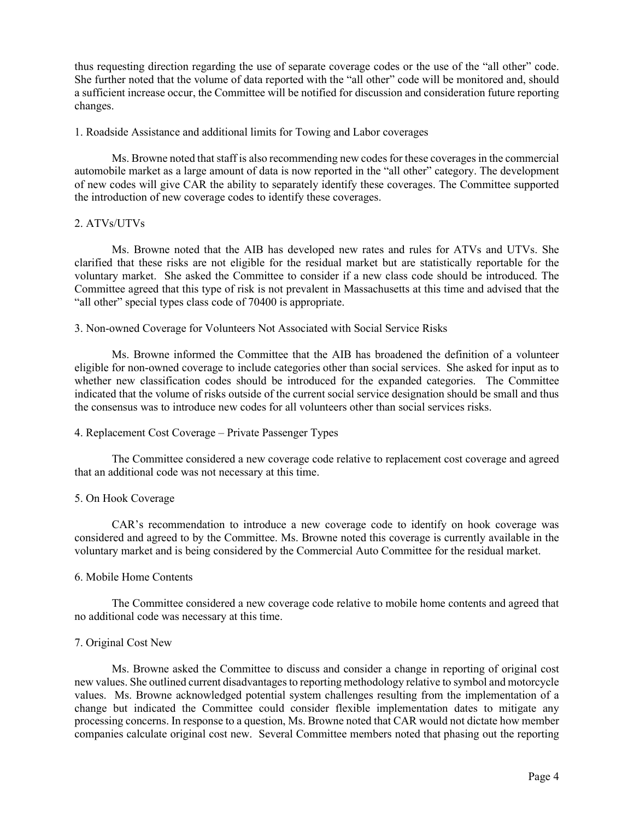thus requesting direction regarding the use of separate coverage codes or the use of the "all other" code. She further noted that the volume of data reported with the "all other" code will be monitored and, should a sufficient increase occur, the Committee will be notified for discussion and consideration future reporting changes.

1. Roadside Assistance and additional limits for Towing and Labor coverages

Ms. Browne noted that staff is also recommending new codes for these coverages in the commercial automobile market as a large amount of data is now reported in the "all other" category. The development of new codes will give CAR the ability to separately identify these coverages. The Committee supported the introduction of new coverage codes to identify these coverages.

## 2. ATVs/UTVs

Ms. Browne noted that the AIB has developed new rates and rules for ATVs and UTVs. She clarified that these risks are not eligible for the residual market but are statistically reportable for the voluntary market. She asked the Committee to consider if a new class code should be introduced. The Committee agreed that this type of risk is not prevalent in Massachusetts at this time and advised that the "all other" special types class code of 70400 is appropriate.

3. Non-owned Coverage for Volunteers Not Associated with Social Service Risks

Ms. Browne informed the Committee that the AIB has broadened the definition of a volunteer eligible for non-owned coverage to include categories other than social services. She asked for input as to whether new classification codes should be introduced for the expanded categories. The Committee indicated that the volume of risks outside of the current social service designation should be small and thus the consensus was to introduce new codes for all volunteers other than social services risks.

## 4. Replacement Cost Coverage – Private Passenger Types

The Committee considered a new coverage code relative to replacement cost coverage and agreed that an additional code was not necessary at this time.

## 5. On Hook Coverage

CAR's recommendation to introduce a new coverage code to identify on hook coverage was considered and agreed to by the Committee. Ms. Browne noted this coverage is currently available in the voluntary market and is being considered by the Commercial Auto Committee for the residual market.

#### 6. Mobile Home Contents

The Committee considered a new coverage code relative to mobile home contents and agreed that no additional code was necessary at this time.

#### 7. Original Cost New

Ms. Browne asked the Committee to discuss and consider a change in reporting of original cost new values. She outlined current disadvantages to reporting methodology relative to symbol and motorcycle values. Ms. Browne acknowledged potential system challenges resulting from the implementation of a change but indicated the Committee could consider flexible implementation dates to mitigate any processing concerns. In response to a question, Ms. Browne noted that CAR would not dictate how member companies calculate original cost new. Several Committee members noted that phasing out the reporting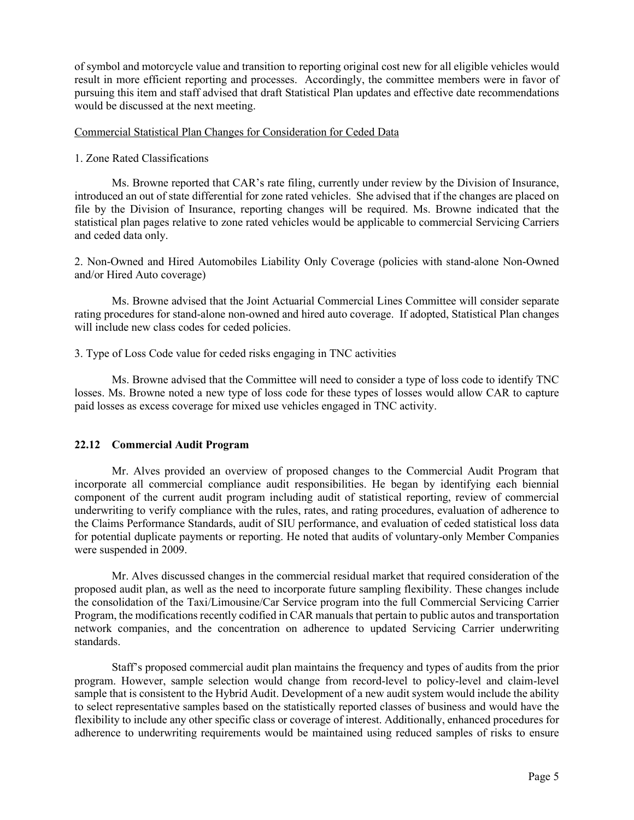of symbol and motorcycle value and transition to reporting original cost new for all eligible vehicles would result in more efficient reporting and processes. Accordingly, the committee members were in favor of pursuing this item and staff advised that draft Statistical Plan updates and effective date recommendations would be discussed at the next meeting.

#### Commercial Statistical Plan Changes for Consideration for Ceded Data

#### 1. Zone Rated Classifications

Ms. Browne reported that CAR's rate filing, currently under review by the Division of Insurance, introduced an out of state differential for zone rated vehicles. She advised that if the changes are placed on file by the Division of Insurance, reporting changes will be required. Ms. Browne indicated that the statistical plan pages relative to zone rated vehicles would be applicable to commercial Servicing Carriers and ceded data only.

2. Non-Owned and Hired Automobiles Liability Only Coverage (policies with stand-alone Non-Owned and/or Hired Auto coverage)

Ms. Browne advised that the Joint Actuarial Commercial Lines Committee will consider separate rating procedures for stand-alone non-owned and hired auto coverage. If adopted, Statistical Plan changes will include new class codes for ceded policies.

## 3. Type of Loss Code value for ceded risks engaging in TNC activities

Ms. Browne advised that the Committee will need to consider a type of loss code to identify TNC losses. Ms. Browne noted a new type of loss code for these types of losses would allow CAR to capture paid losses as excess coverage for mixed use vehicles engaged in TNC activity.

## **22.12 Commercial Audit Program**

Mr. Alves provided an overview of proposed changes to the Commercial Audit Program that incorporate all commercial compliance audit responsibilities. He began by identifying each biennial component of the current audit program including audit of statistical reporting, review of commercial underwriting to verify compliance with the rules, rates, and rating procedures, evaluation of adherence to the Claims Performance Standards, audit of SIU performance, and evaluation of ceded statistical loss data for potential duplicate payments or reporting. He noted that audits of voluntary-only Member Companies were suspended in 2009.

Mr. Alves discussed changes in the commercial residual market that required consideration of the proposed audit plan, as well as the need to incorporate future sampling flexibility. These changes include the consolidation of the Taxi/Limousine/Car Service program into the full Commercial Servicing Carrier Program, the modifications recently codified in CAR manuals that pertain to public autos and transportation network companies, and the concentration on adherence to updated Servicing Carrier underwriting standards.

Staff's proposed commercial audit plan maintains the frequency and types of audits from the prior program. However, sample selection would change from record-level to policy-level and claim-level sample that is consistent to the Hybrid Audit. Development of a new audit system would include the ability to select representative samples based on the statistically reported classes of business and would have the flexibility to include any other specific class or coverage of interest. Additionally, enhanced procedures for adherence to underwriting requirements would be maintained using reduced samples of risks to ensure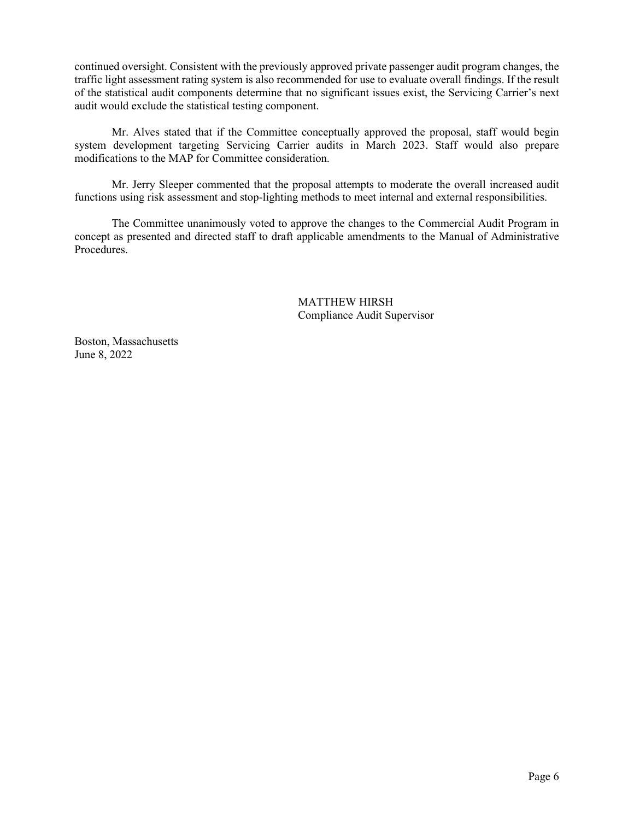continued oversight. Consistent with the previously approved private passenger audit program changes, the traffic light assessment rating system is also recommended for use to evaluate overall findings. If the result of the statistical audit components determine that no significant issues exist, the Servicing Carrier's next audit would exclude the statistical testing component.

Mr. Alves stated that if the Committee conceptually approved the proposal, staff would begin system development targeting Servicing Carrier audits in March 2023. Staff would also prepare modifications to the MAP for Committee consideration.

Mr. Jerry Sleeper commented that the proposal attempts to moderate the overall increased audit functions using risk assessment and stop-lighting methods to meet internal and external responsibilities.

The Committee unanimously voted to approve the changes to the Commercial Audit Program in concept as presented and directed staff to draft applicable amendments to the Manual of Administrative Procedures.

> MATTHEW HIRSH Compliance Audit Supervisor

Boston, Massachusetts June 8, 2022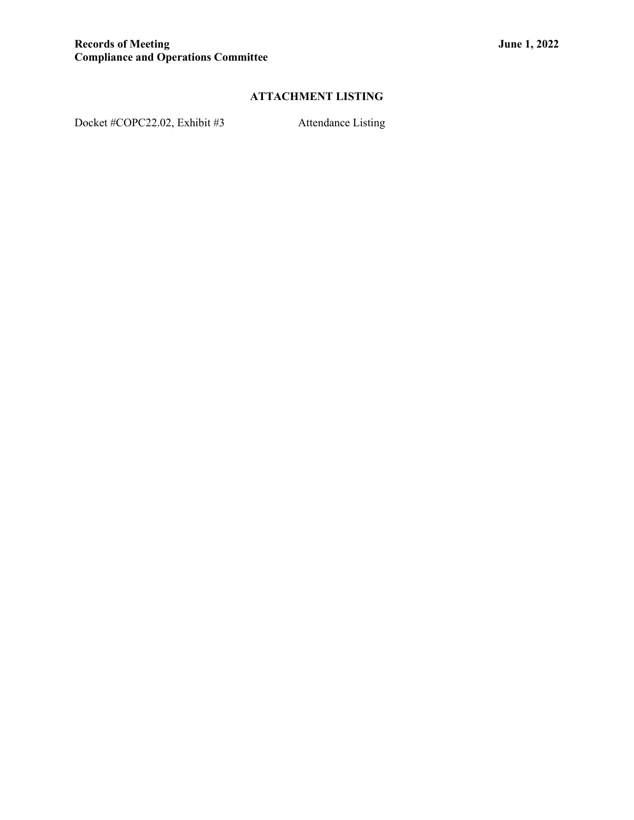## **ATTACHMENT LISTING**

Docket #COPC22.02, Exhibit #3 Attendance Listing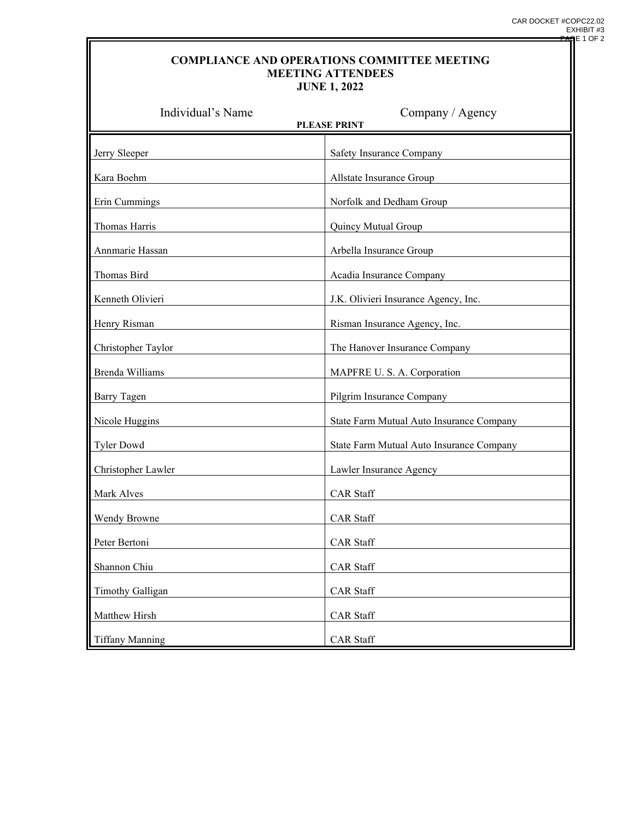## **COMPLIANCE AND OPERATIONS COMMITTEE MEETING MEETING ATTENDEES JUNE 1, 2022**

| Individual's Name<br>Company / Agency<br><b>PLEASE PRINT</b> |                                          |
|--------------------------------------------------------------|------------------------------------------|
| Jerry Sleeper                                                | Safety Insurance Company                 |
| Kara Boehm                                                   | Allstate Insurance Group                 |
| Erin Cummings                                                | Norfolk and Dedham Group                 |
| Thomas Harris                                                | Quincy Mutual Group                      |
| Annmarie Hassan                                              | Arbella Insurance Group                  |
| Thomas Bird                                                  | Acadia Insurance Company                 |
| Kenneth Olivieri                                             | J.K. Olivieri Insurance Agency, Inc.     |
| Henry Risman                                                 | Risman Insurance Agency, Inc.            |
| Christopher Taylor                                           | The Hanover Insurance Company            |
| Brenda Williams                                              | MAPFRE U.S. A. Corporation               |
| <b>Barry Tagen</b>                                           | Pilgrim Insurance Company                |
| Nicole Huggins                                               | State Farm Mutual Auto Insurance Company |
| <b>Tyler Dowd</b>                                            | State Farm Mutual Auto Insurance Company |
| Christopher Lawler                                           | Lawler Insurance Agency                  |
| Mark Alves                                                   | <b>CAR Staff</b>                         |
| Wendy Browne                                                 | <b>CAR</b> Staff                         |
| Peter Bertoni                                                | <b>CAR</b> Staff                         |
| Shannon Chiu                                                 | <b>CAR Staff</b>                         |
| <b>Timothy Galligan</b>                                      | CAR Staff                                |
| Matthew Hirsh                                                | CAR Staff                                |
| <b>Tiffany Manning</b>                                       | CAR Staff                                |